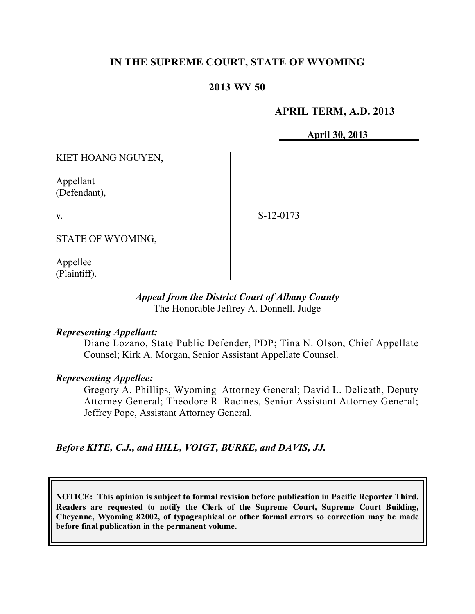# **IN THE SUPREME COURT, STATE OF WYOMING**

## **2013 WY 50**

### **APRIL TERM, A.D. 2013**

**April 30, 2013**

KIET HOANG NGUYEN,

Appellant (Defendant),

v.

S-12-0173

STATE OF WYOMING,

Appellee (Plaintiff).

#### *Appeal from the District Court of Albany County* The Honorable Jeffrey A. Donnell, Judge

#### *Representing Appellant:*

Diane Lozano, State Public Defender, PDP; Tina N. Olson, Chief Appellate Counsel; Kirk A. Morgan, Senior Assistant Appellate Counsel.

#### *Representing Appellee:*

Gregory A. Phillips, Wyoming Attorney General; David L. Delicath, Deputy Attorney General; Theodore R. Racines, Senior Assistant Attorney General; Jeffrey Pope, Assistant Attorney General.

*Before KITE, C.J., and HILL, VOIGT, BURKE, and DAVIS, JJ.*

**NOTICE: This opinion is subject to formal revision before publication in Pacific Reporter Third. Readers are requested to notify the Clerk of the Supreme Court, Supreme Court Building, Cheyenne, Wyoming 82002, of typographical or other formal errors so correction may be made before final publication in the permanent volume.**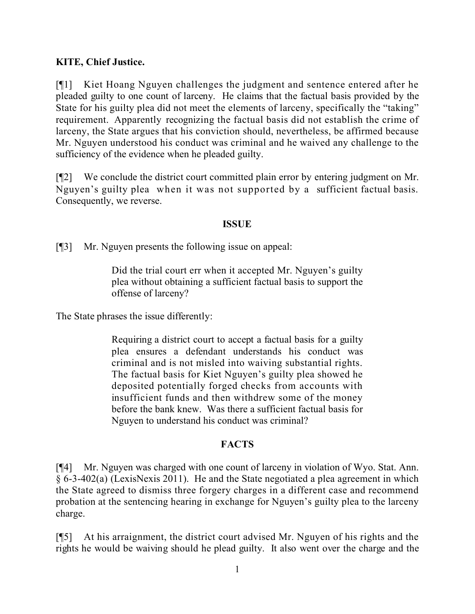# **KITE, Chief Justice.**

[¶1] Kiet Hoang Nguyen challenges the judgment and sentence entered after he pleaded guilty to one count of larceny. He claims that the factual basis provided by the State for his guilty plea did not meet the elements of larceny, specifically the "taking" requirement. Apparently recognizing the factual basis did not establish the crime of larceny, the State argues that his conviction should, nevertheless, be affirmed because Mr. Nguyen understood his conduct was criminal and he waived any challenge to the sufficiency of the evidence when he pleaded guilty.

[¶2] We conclude the district court committed plain error by entering judgment on Mr. Nguyen's guilty plea when it was not supported by a sufficient factual basis. Consequently, we reverse.

### **ISSUE**

[¶3] Mr. Nguyen presents the following issue on appeal:

Did the trial court err when it accepted Mr. Nguyen's guilty plea without obtaining a sufficient factual basis to support the offense of larceny?

The State phrases the issue differently:

Requiring a district court to accept a factual basis for a guilty plea ensures a defendant understands his conduct was criminal and is not misled into waiving substantial rights. The factual basis for Kiet Nguyen's guilty plea showed he deposited potentially forged checks from accounts with insufficient funds and then withdrew some of the money before the bank knew. Was there a sufficient factual basis for Nguyen to understand his conduct was criminal?

## **FACTS**

[¶4] Mr. Nguyen was charged with one count of larceny in violation of Wyo. Stat. Ann. § 6-3-402(a) (LexisNexis 2011). He and the State negotiated a plea agreement in which the State agreed to dismiss three forgery charges in a different case and recommend probation at the sentencing hearing in exchange for Nguyen's guilty plea to the larceny charge.

[¶5] At his arraignment, the district court advised Mr. Nguyen of his rights and the rights he would be waiving should he plead guilty. It also went over the charge and the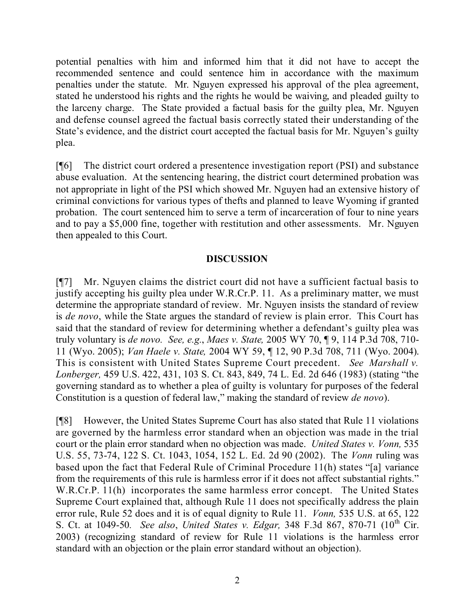potential penalties with him and informed him that it did not have to accept the recommended sentence and could sentence him in accordance with the maximum penalties under the statute. Mr. Nguyen expressed his approval of the plea agreement, stated he understood his rights and the rights he would be waiving, and pleaded guilty to the larceny charge. The State provided a factual basis for the guilty plea, Mr. Nguyen and defense counsel agreed the factual basis correctly stated their understanding of the State's evidence, and the district court accepted the factual basis for Mr. Nguyen's guilty plea.

[¶6] The district court ordered a presentence investigation report (PSI) and substance abuse evaluation. At the sentencing hearing, the district court determined probation was not appropriate in light of the PSI which showed Mr. Nguyen had an extensive history of criminal convictions for various types of thefts and planned to leave Wyoming if granted probation. The court sentenced him to serve a term of incarceration of four to nine years and to pay a \$5,000 fine, together with restitution and other assessments. Mr. Nguyen then appealed to this Court.

# **DISCUSSION**

[¶7] Mr. Nguyen claims the district court did not have a sufficient factual basis to justify accepting his guilty plea under W.R.Cr.P. 11. As a preliminary matter, we must determine the appropriate standard of review. Mr. Nguyen insists the standard of review is *de novo*, while the State argues the standard of review is plain error. This Court has said that the standard of review for determining whether a defendant's guilty plea was truly voluntary is *de novo. See, e.g.*, *Maes v. State,* 2005 WY 70, ¶ 9, 114 P.3d 708, 710- 11 (Wyo. 2005); *Van Haele v. State,* 2004 WY 59, ¶ 12, 90 P.3d 708, 711 (Wyo. 2004). This is consistent with United States Supreme Court precedent. *See Marshall v. Lonberger,* 459 U.S. 422, 431, 103 S. Ct. 843, 849, 74 L. Ed. 2d 646 (1983) (stating "the governing standard as to whether a plea of guilty is voluntary for purposes of the federal Constitution is a question of federal law," making the standard of review *de novo*).

[¶8] However, the United States Supreme Court has also stated that Rule 11 violations are governed by the harmless error standard when an objection was made in the trial court or the plain error standard when no objection was made. *United States v. Vonn,* 535 U.S. 55, 73-74, 122 S. Ct. 1043, 1054, 152 L. Ed. 2d 90 (2002). The *Vonn* ruling was based upon the fact that Federal Rule of Criminal Procedure 11(h) states "[a] variance from the requirements of this rule is harmless error if it does not affect substantial rights." W.R.Cr.P. 11(h) incorporates the same harmless error concept. The United States Supreme Court explained that, although Rule 11 does not specifically address the plain error rule, Rule 52 does and it is of equal dignity to Rule 11. *Vonn,* 535 U.S. at 65, 122 S. Ct. at 1049-50*. See also*, *United States v. Edgar,* 348 F.3d 867, 870-71 (10 th Cir. 2003) (recognizing standard of review for Rule 11 violations is the harmless error standard with an objection or the plain error standard without an objection).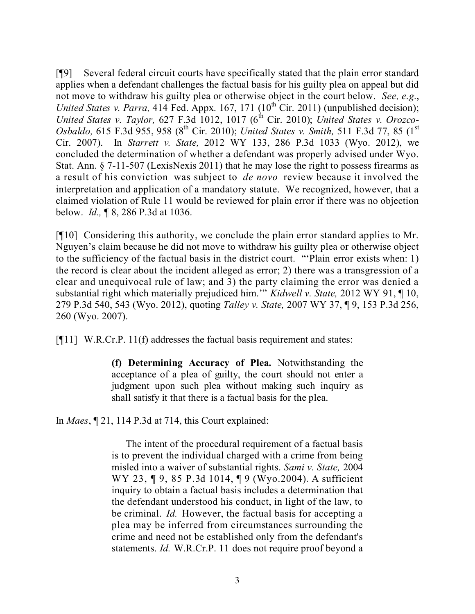[¶9] Several federal circuit courts have specifically stated that the plain error standard applies when a defendant challenges the factual basis for his guilty plea on appeal but did not move to withdraw his guilty plea or otherwise object in the court below. *See, e.g.*, United States v. Parra, 414 Fed. Appx. 167, 171 (10<sup>th</sup> Cir. 2011) (unpublished decision); *United States v. Taylor,* 627 F.3d 1012, 1017 (6 th Cir. 2010); *United States v. Orozco-*Osbaldo, 615 F.3d 955, 958 (8<sup>th</sup> Cir. 2010); *United States v. Smith,* 511 F.3d 77, 85 (1<sup>st</sup> Cir. 2007). In *Starrett v. State,* 2012 WY 133, 286 P.3d 1033 (Wyo. 2012), we concluded the determination of whether a defendant was properly advised under Wyo. Stat. Ann. § 7-11-507 (LexisNexis 2011) that he may lose the right to possess firearms as a result of his conviction was subject to *de novo* review because it involved the interpretation and application of a mandatory statute. We recognized, however, that a claimed violation of Rule 11 would be reviewed for plain error if there was no objection below. *Id.,* ¶ 8, 286 P.3d at 1036.

[¶10] Considering this authority, we conclude the plain error standard applies to Mr. Nguyen's claim because he did not move to withdraw his guilty plea or otherwise object to the sufficiency of the factual basis in the district court. "'Plain error exists when: 1) the record is clear about the incident alleged as error; 2) there was a transgression of a clear and unequivocal rule of law; and 3) the party claiming the error was denied a substantial right which materially prejudiced him.'" *Kidwell v. State,* 2012 WY 91, ¶ 10, 279 P.3d 540, 543 (Wyo. 2012), quoting *Talley v. State,* 2007 WY 37, ¶ 9, 153 P.3d 256, 260 (Wyo. 2007).

[¶11] W.R.Cr.P. 11(f) addresses the factual basis requirement and states:

**(f) Determining Accuracy of Plea.** Notwithstanding the acceptance of a plea of guilty, the court should not enter a judgment upon such plea without making such inquiry as shall satisfy it that there is a factual basis for the plea.

In *Maes*, ¶ 21, 114 P.3d at 714, this Court explained:

The intent of the procedural requirement of a factual basis is to prevent the individual charged with a crime from being misled into a waiver of substantial rights. *Sami v. State,* 2004 WY 23, ¶ 9, 85 P.3d 1014, ¶ 9 (Wyo.2004). A sufficient inquiry to obtain a factual basis includes a determination that the defendant understood his conduct, in light of the law, to be criminal. *Id.* However, the factual basis for accepting a plea may be inferred from circumstances surrounding the crime and need not be established only from the defendant's statements. *Id.* W.R.Cr.P. 11 does not require proof beyond a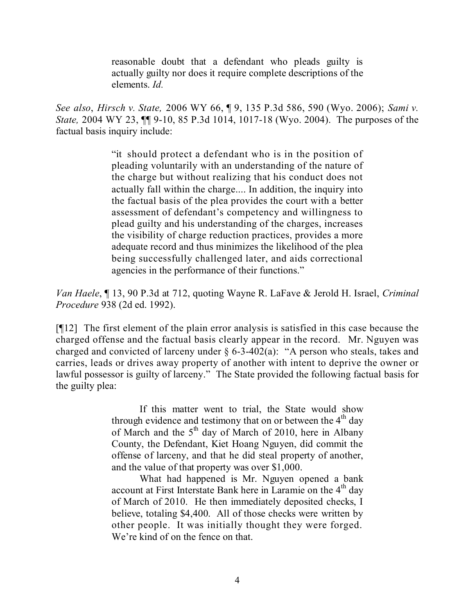reasonable doubt that a defendant who pleads guilty is actually guilty nor does it require complete descriptions of the elements. *Id.*

*See also*, *Hirsch v. State,* 2006 WY 66, ¶ 9, 135 P.3d 586, 590 (Wyo. 2006); *Sami v. State,* 2004 WY 23, ¶¶ 9-10, 85 P.3d 1014, 1017-18 (Wyo. 2004). The purposes of the factual basis inquiry include:

> "it should protect a defendant who is in the position of pleading voluntarily with an understanding of the nature of the charge but without realizing that his conduct does not actually fall within the charge.... In addition, the inquiry into the factual basis of the plea provides the court with a better assessment of defendant's competency and willingness to plead guilty and his understanding of the charges, increases the visibility of charge reduction practices, provides a more adequate record and thus minimizes the likelihood of the plea being successfully challenged later, and aids correctional agencies in the performance of their functions."

*Van Haele*, ¶ 13, 90 P.3d at 712, quoting Wayne R. LaFave & Jerold H. Israel, *Criminal Procedure* 938 (2d ed. 1992).

[¶12] The first element of the plain error analysis is satisfied in this case because the charged offense and the factual basis clearly appear in the record. Mr. Nguyen was charged and convicted of larceny under § 6-3-402(a): "A person who steals, takes and carries, leads or drives away property of another with intent to deprive the owner or lawful possessor is guilty of larceny." The State provided the following factual basis for the guilty plea:

> If this matter went to trial, the State would show through evidence and testimony that on or between the  $4^{\text{th}}$  day of March and the  $5<sup>th</sup>$  day of March of 2010, here in Albany County, the Defendant, Kiet Hoang Nguyen, did commit the offense of larceny, and that he did steal property of another, and the value of that property was over \$1,000.

> What had happened is Mr. Nguyen opened a bank account at First Interstate Bank here in Laramie on the 4<sup>th</sup> day of March of 2010. He then immediately deposited checks, I believe, totaling \$4,400. All of those checks were written by other people. It was initially thought they were forged. We're kind of on the fence on that.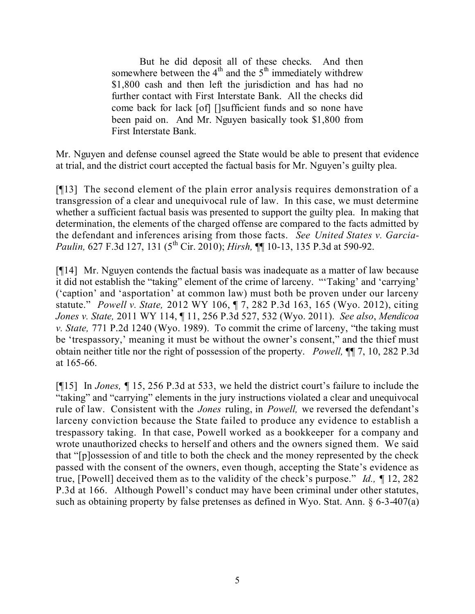But he did deposit all of these checks. And then somewhere between the  $4<sup>th</sup>$  and the  $5<sup>th</sup>$  immediately withdrew \$1,800 cash and then left the jurisdiction and has had no further contact with First Interstate Bank. All the checks did come back for lack [of] []sufficient funds and so none have been paid on. And Mr. Nguyen basically took \$1,800 from First Interstate Bank.

Mr. Nguyen and defense counsel agreed the State would be able to present that evidence at trial, and the district court accepted the factual basis for Mr. Nguyen's guilty plea.

[¶13] The second element of the plain error analysis requires demonstration of a transgression of a clear and unequivocal rule of law. In this case, we must determine whether a sufficient factual basis was presented to support the guilty plea. In making that determination, the elements of the charged offense are compared to the facts admitted by the defendant and inferences arising from those facts. *See United States v. Garcia-Paulin,* 627 F.3d 127, 131 (5<sup>th</sup> Cir. 2010); *Hirsh*, **[1]** 10-13, 135 P.3d at 590-92.

[¶14] Mr. Nguyen contends the factual basis was inadequate as a matter of law because it did not establish the "taking" element of the crime of larceny. "'Taking' and 'carrying' ('caption' and 'asportation' at common law) must both be proven under our larceny statute." *Powell v. State,* 2012 WY 106, ¶ 7, 282 P.3d 163, 165 (Wyo. 2012), citing *Jones v. State,* 2011 WY 114, ¶ 11, 256 P.3d 527, 532 (Wyo. 2011). *See also*, *Mendicoa v. State,* 771 P.2d 1240 (Wyo. 1989). To commit the crime of larceny, "the taking must be 'trespassory,' meaning it must be without the owner's consent," and the thief must obtain neither title nor the right of possession of the property. *Powell,* ¶¶ 7, 10, 282 P.3d at 165-66.

[¶15] In *Jones,* ¶ 15, 256 P.3d at 533, we held the district court's failure to include the "taking" and "carrying" elements in the jury instructions violated a clear and unequivocal rule of law. Consistent with the *Jones* ruling, in *Powell,* we reversed the defendant's larceny conviction because the State failed to produce any evidence to establish a trespassory taking. In that case, Powell worked as a bookkeeper for a company and wrote unauthorized checks to herself and others and the owners signed them. We said that "[p]ossession of and title to both the check and the money represented by the check passed with the consent of the owners, even though, accepting the State's evidence as true, [Powell] deceived them as to the validity of the check's purpose." *Id.,* ¶ 12, 282 P.3d at 166. Although Powell's conduct may have been criminal under other statutes, such as obtaining property by false pretenses as defined in Wyo. Stat. Ann. § 6-3-407(a)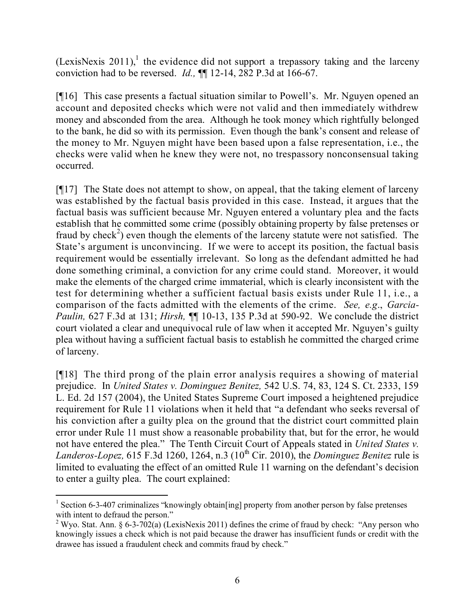(LexisNexis 2011),<sup>1</sup> the evidence did not support a trepassory taking and the larceny conviction had to be reversed. *Id.,* ¶¶ 12-14, 282 P.3d at 166-67.

[¶16] This case presents a factual situation similar to Powell's. Mr. Nguyen opened an account and deposited checks which were not valid and then immediately withdrew money and absconded from the area. Although he took money which rightfully belonged to the bank, he did so with its permission. Even though the bank's consent and release of the money to Mr. Nguyen might have been based upon a false representation, i.e., the checks were valid when he knew they were not, no trespassory nonconsensual taking occurred.

[¶17] The State does not attempt to show, on appeal, that the taking element of larceny was established by the factual basis provided in this case. Instead, it argues that the factual basis was sufficient because Mr. Nguyen entered a voluntary plea and the facts establish that he committed some crime (possibly obtaining property by false pretenses or fraud by check<sup>2</sup>) even though the elements of the larceny statute were not satisfied. The State's argument is unconvincing. If we were to accept its position, the factual basis requirement would be essentially irrelevant. So long as the defendant admitted he had done something criminal, a conviction for any crime could stand. Moreover, it would make the elements of the charged crime immaterial, which is clearly inconsistent with the test for determining whether a sufficient factual basis exists under Rule 11, i.e., a comparison of the facts admitted with the elements of the crime. *See, e.g*., *Garcia-Paulin,* 627 F.3d at 131; *Hirsh,* ¶¶ 10-13, 135 P.3d at 590-92. We conclude the district court violated a clear and unequivocal rule of law when it accepted Mr. Nguyen's guilty plea without having a sufficient factual basis to establish he committed the charged crime of larceny.

[¶18] The third prong of the plain error analysis requires a showing of material prejudice. In *United States v. Dominguez Benitez,* 542 U.S. 74, 83, 124 S. Ct. 2333, 159 L. Ed. 2d 157 (2004), the United States Supreme Court imposed a heightened prejudice requirement for Rule 11 violations when it held that "a defendant who seeks reversal of his conviction after a guilty plea on the ground that the district court committed plain error under Rule 11 must show a reasonable probability that, but for the error, he would not have entered the plea." The Tenth Circuit Court of Appeals stated in *United States v. Landeros-Lopez*, 615 F.3d 1260, 1264, n.3 (10<sup>th</sup> Cir. 2010), the *Dominguez Benitez* rule is limited to evaluating the effect of an omitted Rule 11 warning on the defendant's decision to enter a guilty plea. The court explained:

 $\overline{a}$ <sup>1</sup> Section 6-3-407 criminalizes "knowingly obtain[ing] property from another person by false pretenses with intent to defraud the person."

<sup>&</sup>lt;sup>2</sup> Wyo. Stat. Ann. § 6-3-702(a) (LexisNexis 2011) defines the crime of fraud by check: "Any person who knowingly issues a check which is not paid because the drawer has insufficient funds or credit with the drawee has issued a fraudulent check and commits fraud by check."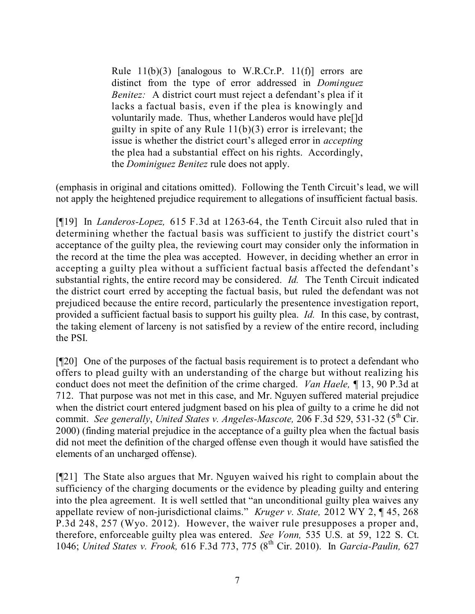Rule  $11(b)(3)$  [analogous to W.R.Cr.P.  $11(f)$ ] errors are distinct from the type of error addressed in *Dominguez Benitez:* A district court must reject a defendant's plea if it lacks a factual basis, even if the plea is knowingly and voluntarily made. Thus, whether Landeros would have ple[]d guilty in spite of any Rule 11(b)(3) error is irrelevant; the issue is whether the district court's alleged error in *accepting*  the plea had a substantial effect on his rights. Accordingly, the *Dominiguez Benitez* rule does not apply.

(emphasis in original and citations omitted). Following the Tenth Circuit's lead, we will not apply the heightened prejudice requirement to allegations of insufficient factual basis.

[¶19] In *Landeros-Lopez,* 615 F.3d at 1263-64, the Tenth Circuit also ruled that in determining whether the factual basis was sufficient to justify the district court's acceptance of the guilty plea, the reviewing court may consider only the information in the record at the time the plea was accepted. However, in deciding whether an error in accepting a guilty plea without a sufficient factual basis affected the defendant's substantial rights, the entire record may be considered. *Id.* The Tenth Circuit indicated the district court erred by accepting the factual basis, but ruled the defendant was not prejudiced because the entire record, particularly the presentence investigation report, provided a sufficient factual basis to support his guilty plea. *Id.* In this case, by contrast, the taking element of larceny is not satisfied by a review of the entire record, including the PSI.

[¶20] One of the purposes of the factual basis requirement is to protect a defendant who offers to plead guilty with an understanding of the charge but without realizing his conduct does not meet the definition of the crime charged. *Van Haele,* ¶ 13, 90 P.3d at 712. That purpose was not met in this case, and Mr. Nguyen suffered material prejudice when the district court entered judgment based on his plea of guilty to a crime he did not commit. *See generally*, *United States v. Angeles-Mascote,* 206 F.3d 529, 531-32 (5 th Cir. 2000) (finding material prejudice in the acceptance of a guilty plea when the factual basis did not meet the definition of the charged offense even though it would have satisfied the elements of an uncharged offense).

[¶21] The State also argues that Mr. Nguyen waived his right to complain about the sufficiency of the charging documents or the evidence by pleading guilty and entering into the plea agreement. It is well settled that "an unconditional guilty plea waives any appellate review of non-jurisdictional claims." *Kruger v. State,* 2012 WY 2, ¶ 45, 268 P.3d 248, 257 (Wyo. 2012). However, the waiver rule presupposes a proper and, therefore, enforceable guilty plea was entered. *See Vonn,* 535 U.S. at 59, 122 S. Ct. 1046; *United States v. Frook,* 616 F.3d 773, 775 (8 th Cir. 2010). In *Garcia-Paulin,* 627